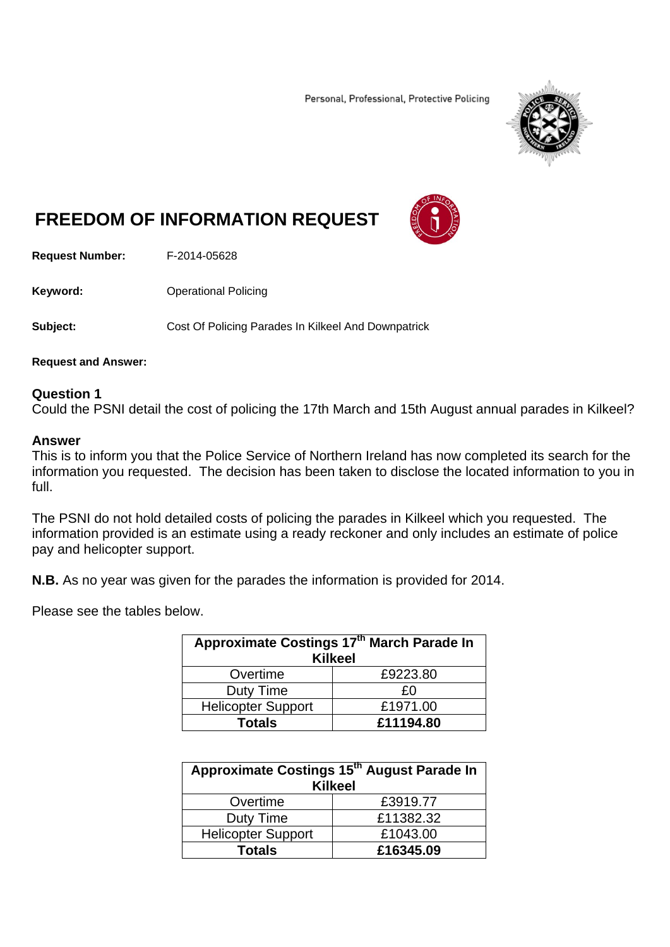Personal, Professional, Protective Policing



# **FREEDOM OF INFORMATION REQUEST**



**Request Number:** F-2014-05628

**Keyword: Confidence Operational Policing** 

**Subject: Cost Of Policing Parades In Kilkeel And Downpatrick** 

**Request and Answer:** 

## **Question 1**

Could the PSNI detail the cost of policing the 17th March and 15th August annual parades in Kilkeel?

#### **Answer**

This is to inform you that the Police Service of Northern Ireland has now completed its search for the information you requested. The decision has been taken to disclose the located information to you in full.

The PSNI do not hold detailed costs of policing the parades in Kilkeel which you requested. The information provided is an estimate using a ready reckoner and only includes an estimate of police pay and helicopter support.

**N.B.** As no year was given for the parades the information is provided for 2014.

Please see the tables below.

| Approximate Costings 17th March Parade In<br><b>Kilkeel</b> |           |  |
|-------------------------------------------------------------|-----------|--|
| Overtime                                                    | £9223.80  |  |
| Duty Time                                                   | £Ο        |  |
| <b>Helicopter Support</b>                                   | £1971.00  |  |
| Totals                                                      | £11194.80 |  |

| Approximate Costings 15th August Parade In<br><b>Kilkeel</b> |           |  |
|--------------------------------------------------------------|-----------|--|
| Overtime                                                     | £3919.77  |  |
| Duty Time                                                    | £11382.32 |  |
| <b>Helicopter Support</b>                                    | £1043.00  |  |
| <b>Totals</b>                                                | £16345.09 |  |